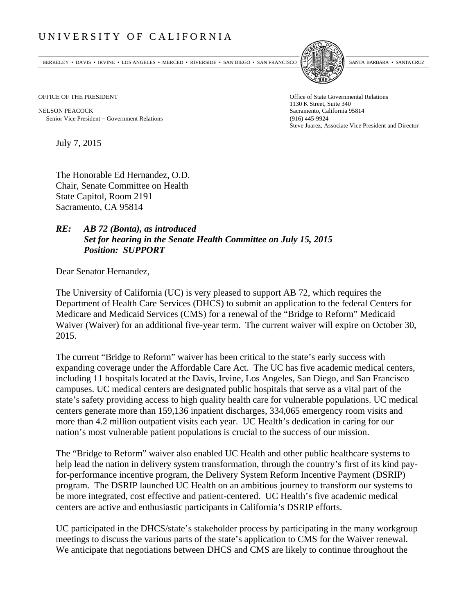## UNIVERSITY OF CALIFORNIA

BERKELEY • DAVIS • IRVINE • LOS ANGELES • MERCED • RIVERSIDE • SAN DIEGO • SAN FRANCISCO SANTA BARBARA • SANTA CRUZ



NELSON PEACOCK Sacramento, California 95814 Senior Vice President Government Relations (916) 445-9924

OFFICE OF THE PRESIDENT STATES OF THE PRESIDENT 1130 K Street, Suite 340 Steve Juarez, Associate Vice President and Director

July 7, 2015

The Honorable Ed Hernandez, O.D. Chair, Senate Committee on Health State Capitol, Room 2191 Sacramento, CA 95814

## *RE: AB 72 (Bonta), as introduced Set for hearing in the Senate Health Committee on July 15, 2015 Position: SUPPORT*

Dear Senator Hernandez,

The University of California (UC) is very pleased to support AB 72, which requires the Department of Health Care Services (DHCS) to submit an application to the federal Centers for Medicare and Medicaid Services (CMS) for a renewal of the "Bridge to Reform" Medicaid Waiver (Waiver) for an additional five-year term. The current waiver will expire on October 30, 2015.

The current "Bridge to Reform" waiver has been critical to the state's early success with expanding coverage under the Affordable Care Act. The UC has five academic medical centers, including 11 hospitals located at the Davis, Irvine, Los Angeles, San Diego, and San Francisco campuses. UC medical centers are designated public hospitals that serve as a vital part of the state's safety providing access to high quality health care for vulnerable populations. UC medical centers generate more than 159,136 inpatient discharges, 334,065 emergency room visits and more than 4.2 million outpatient visits each year. UC Health's dedication in caring for our nation's most vulnerable patient populations is crucial to the success of our mission.

The "Bridge to Reform" waiver also enabled UC Health and other public healthcare systems to help lead the nation in delivery system transformation, through the country's first of its kind payfor-performance incentive program, the Delivery System Reform Incentive Payment (DSRIP) program. The DSRIP launched UC Health on an ambitious journey to transform our systems to be more integrated, cost effective and patient-centered. UC Health's five academic medical centers are active and enthusiastic participants in California's DSRIP efforts.

UC participated in the DHCS/state's stakeholder process by participating in the many workgroup meetings to discuss the various parts of the state's application to CMS for the Waiver renewal. We anticipate that negotiations between DHCS and CMS are likely to continue throughout the